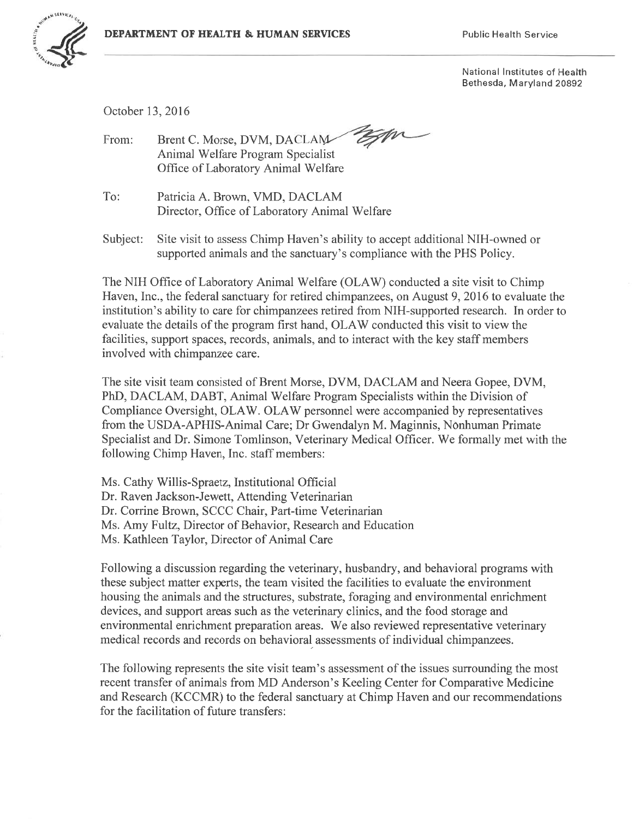

National Institutes of Health Bethesda, Maryland 20892

October 13, 2016

Brent C. Morse, DVM, DACLAM-From: Animal Welfare Program Specialist Office of Laboratory Animal Welfare

To: Patricia A. Brown, VMD, DACLAM Director, Office of Laboratory Animal Welfare

Subject: Site visit to assess Chimp Haven's ability to accept additional NIH-owned or supported animals and the sanctuary's compliance with the PHS Policy.

The NIH Office of Laboratory Animal Welfare (OLAW) conducted a site visit to Chimp Haven, Inc., the federal sanctuary for retired chimpanzees, on August 9, 2016 to evaluate the institution's ability to care for chimpanzees retired from NIH-supported research. In order to evaluate the details of the program first hand, OLAW conducted this visit to view the facilities, support spaces, records, animals, and to interact with the key staff members involved with chimpanzee care.

The site visit team consisted of Brent Morse, DVM, DACLAM and Neera Gopee, DVM, PhD, DACLAM, DABT, Animal Welfare Program Specialists within the Division of Compliance Oversight, OLAW. OLAW personnel were accompanied by representatives from the USDA-APHIS-Animal Care; Dr Gwendalyn M. Maginnis, Nonhuman Primate Specialist and Dr. Simone Tomlinson, Veterinary Medical Officer. We formally met with the following Chimp Haven, Inc. staff members:

Ms. Cathy Willis-Spraetz, Institutional Official Dr. Raven Jackson-Jewett, Attending Veterinarian Dr. Corrine Brown, SCCC Chair, Part-time Veterinarian Ms. Amy Fultz, Director of Behavior, Research and Education Ms. Kathleen Taylor, Director of Animal Care

Following a discussion regarding the veterinary, husbandry, and behavioral programs with these subject matter experts, the team visited the facilities to evaluate the environment housing the animals and the structures, substrate, foraging and environmental enrichment devices, and support areas such as the veterinary clinics, and the food storage and environmental enrichment preparation areas. We also reviewed representative veterinary medical records and records on behavioral assessments of individual chimpanzees.

The following represents the site visit team's assessment of the issues surrounding the most recent transfer of animals from MD Anderson's Keeling Center for Comparative Medicine and Research (KCCMR) to the federal sanctuary at Chimp Haven and our recommendations for the facilitation of future transfers: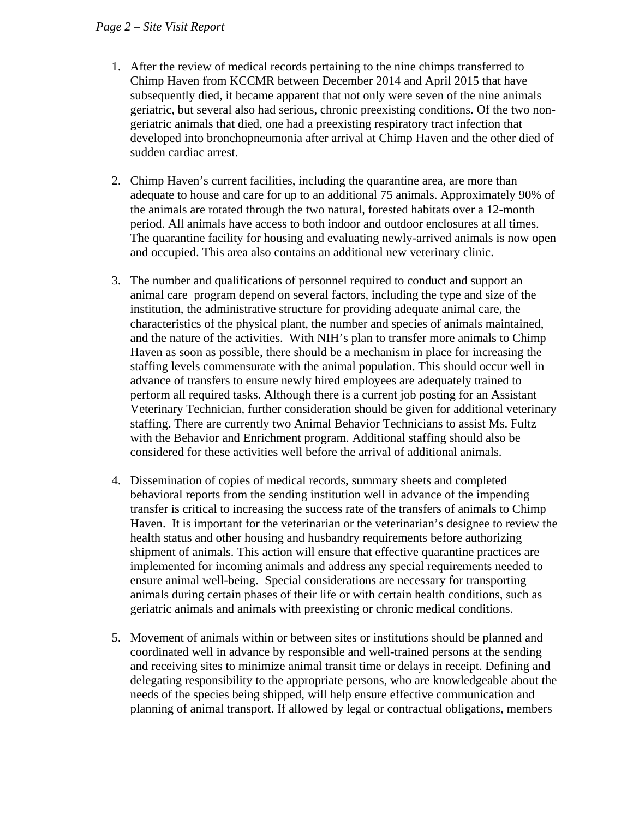## *Page 2 – Site Visit Report*

- 1. After the review of medical records pertaining to the nine chimps transferred to Chimp Haven from KCCMR between December 2014 and April 2015 that have subsequently died, it became apparent that not only were seven of the nine animals geriatric, but several also had serious, chronic preexisting conditions. Of the two nongeriatric animals that died, one had a preexisting respiratory tract infection that developed into bronchopneumonia after arrival at Chimp Haven and the other died of sudden cardiac arrest.
- 2. Chimp Haven's current facilities, including the quarantine area, are more than adequate to house and care for up to an additional 75 animals. Approximately 90% of the animals are rotated through the two natural, forested habitats over a 12-month period. All animals have access to both indoor and outdoor enclosures at all times. The quarantine facility for housing and evaluating newly-arrived animals is now open and occupied. This area also contains an additional new veterinary clinic.
- 3. The number and qualifications of personnel required to conduct and support an animal care program depend on several factors, including the type and size of the institution, the administrative structure for providing adequate animal care, the characteristics of the physical plant, the number and species of animals maintained, and the nature of the activities. With NIH's plan to transfer more animals to Chimp Haven as soon as possible, there should be a mechanism in place for increasing the staffing levels commensurate with the animal population. This should occur well in advance of transfers to ensure newly hired employees are adequately trained to perform all required tasks. Although there is a current job posting for an Assistant Veterinary Technician, further consideration should be given for additional veterinary staffing. There are currently two Animal Behavior Technicians to assist Ms. Fultz with the Behavior and Enrichment program. Additional staffing should also be considered for these activities well before the arrival of additional animals.
- 4. Dissemination of copies of medical records, summary sheets and completed behavioral reports from the sending institution well in advance of the impending transfer is critical to increasing the success rate of the transfers of animals to Chimp Haven. It is important for the veterinarian or the veterinarian's designee to review the health status and other housing and husbandry requirements before authorizing shipment of animals. This action will ensure that effective quarantine practices are implemented for incoming animals and address any special requirements needed to ensure animal well-being. Special considerations are necessary for transporting animals during certain phases of their life or with certain health conditions, such as geriatric animals and animals with preexisting or chronic medical conditions.
- 5. Movement of animals within or between sites or institutions should be planned and coordinated well in advance by responsible and well-trained persons at the sending and receiving sites to minimize animal transit time or delays in receipt. Defining and delegating responsibility to the appropriate persons, who are knowledgeable about the needs of the species being shipped, will help ensure effective communication and planning of animal transport. If allowed by legal or contractual obligations, members